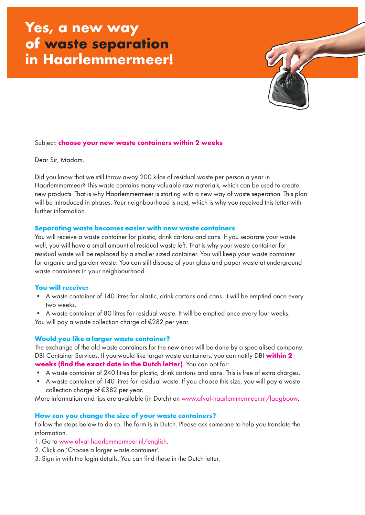# **Yes, a new way of waste separation in Haarlemmermeer!**



### Subject: **choose your new waste containers within 2 weeks**

Dear Sir, Madam,

Did you know that we still throw away 200 kilos of residual waste per person a year in Haarlemmermeer? This waste contains many valuable raw materials, which can be used to create new products. That is why Haarlemmermeer is starting with a new way of waste seperation. This plan will be introduced in phases. Your neighbourhood is next, which is why you received this letter with further information.

#### **Separating waste becomes easier with new waste containers**

You will receive a waste container for plastic, drink cartons and cans. If you separate your waste well, you will have a small amount of residual waste left. That is why your waste container for residual waste will be replaced by a smaller sized container. You will keep your waste container for organic and garden waste. You can still dispose of your glass and paper waste at underground waste containers in your neighbourhood.

## **You will receive:**

- A waste container of 140 litres for plastic, drink cartons and cans. It will be emptied once every two weeks.
- A waste container of 80 litres for residual waste. It will be emptied once every four weeks.

You will pay a waste collection charge of €282 per year.

# **Would you like a larger waste container?**

The exchange of the old waste containers for the new ones will be done by a specialised company: DBI Container Services. If you would like larger waste containers, you can notify DBI **within 2 weeks (find the exact date in the Dutch letter)**. You can opt for:

- 
- A waste container of 240 litres for plastic, drink cartons and cans. This is free of extra charges.
- A waste container of 140 litres for residual waste. If you choose this size, you will pay a waste collection charge of €382 per year.

More information and tips are available (in Dutch) on www.afval-haarlemmermeer.nl/laagbouw.

## **How can you change the size of your waste containers?**

Follow the steps below to do so. The form is in Dutch. Please ask someone to help you translate the information.

- 1. Go to www.afval-haarlemmermeer.nl/english.
- 2. Click on 'Choose a larger waste container'.
- 3. Sign in with the login details. You can find these in the Dutch letter.